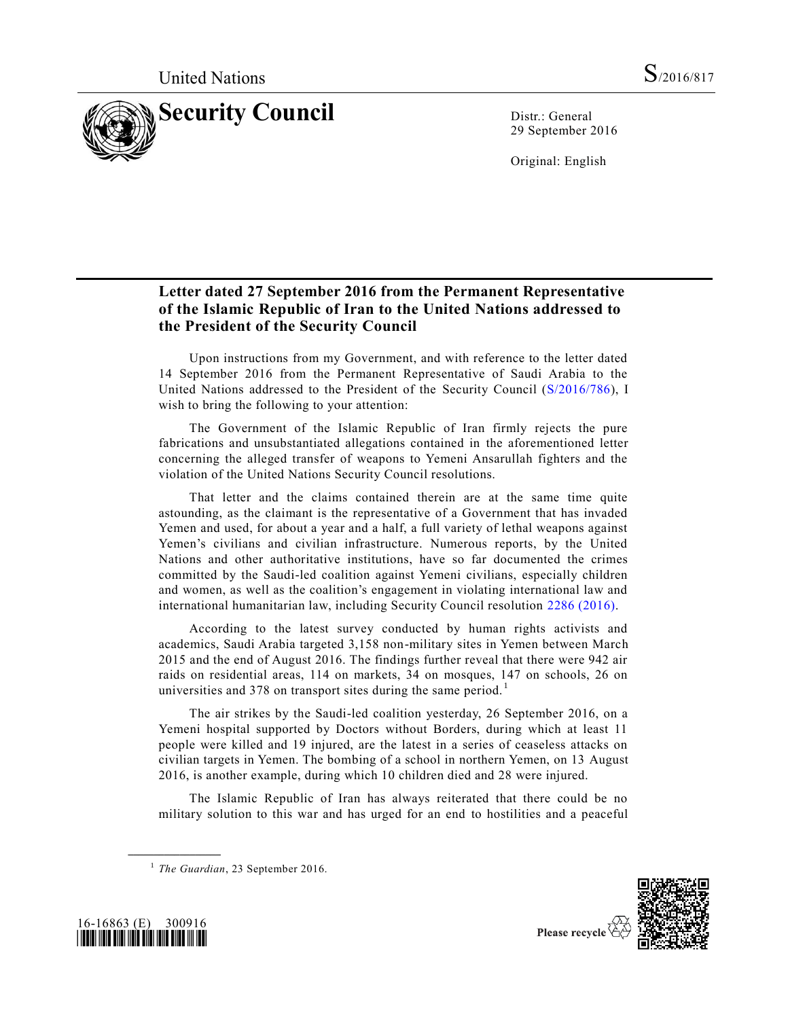

29 September 2016

Original: English

## **Letter dated 27 September 2016 from the Permanent Representative of the Islamic Republic of Iran to the United Nations addressed to the President of the Security Council**

Upon instructions from my Government, and with reference to the letter dated 14 September 2016 from the Permanent Representative of Saudi Arabia to the United Nations addressed to the President of the Security Council [\(S/2016/786\)](http://undocs.org/S/2016/786), I wish to bring the following to your attention:

The Government of the Islamic Republic of Iran firmly rejects the pure fabrications and unsubstantiated allegations contained in the aforementioned letter concerning the alleged transfer of weapons to Yemeni Ansarullah fighters and the violation of the United Nations Security Council resolutions.

That letter and the claims contained therein are at the same time quite astounding, as the claimant is the representative of a Government that has invaded Yemen and used, for about a year and a half, a full variety of lethal weapons against Yemen's civilians and civilian infrastructure. Numerous reports, by the United Nations and other authoritative institutions, have so far documented the crimes committed by the Saudi-led coalition against Yemeni civilians, especially children and women, as well as the coalition's engagement in violating international law and international humanitarian law, including Security Council resolution [2286 \(2016\).](http://undocs.org/S/RES/2286(2016))

According to the latest survey conducted by human rights activists and academics, Saudi Arabia targeted 3,158 non-military sites in Yemen between March 2015 and the end of August 2016. The findings further reveal that there were 942 air raids on residential areas, 114 on markets, 34 on mosques, 147 on schools, 26 on universities and 378 on transport sites during the same period.<sup>1</sup>

The air strikes by the Saudi-led coalition yesterday, 26 September 2016, on a Yemeni hospital supported by Doctors without Borders, during which at least 11 people were killed and 19 injured, are the latest in a series of ceaseless attacks on civilian targets in Yemen. The bombing of a school in northern Yemen, on 13 August 2016, is another example, during which 10 children died and 28 were injured.

The Islamic Republic of Iran has always reiterated that there could be no military solution to this war and has urged for an end to hostilities and a peaceful





**\_\_\_\_\_\_\_\_\_\_\_\_\_\_\_\_\_\_**

<sup>&</sup>lt;sup>1</sup> The Guardian, 23 September 2016.